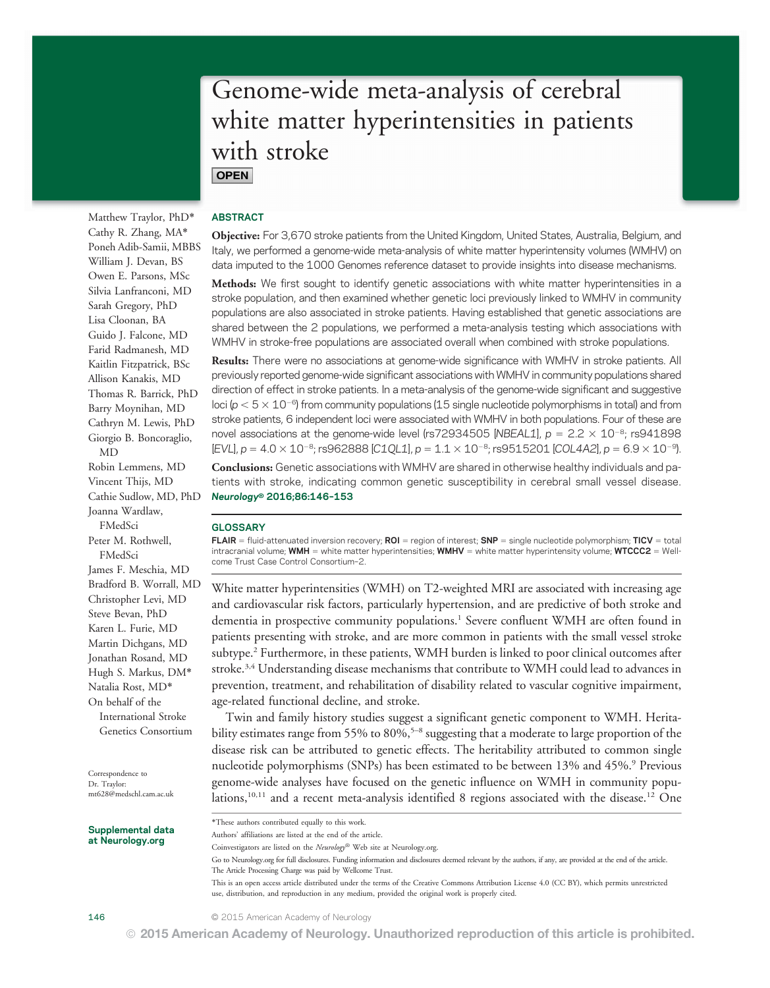# Genome-wide meta-analysis of cerebral white matter hyperintensities in patients with stroke **OPEN**

#### ABSTRACT

Objective: For 3,670 stroke patients from the United Kingdom, United States, Australia, Belgium, and Italy, we performed a genome-wide meta-analysis of white matter hyperintensity volumes (WMHV) on data imputed to the 1000 Genomes reference dataset to provide insights into disease mechanisms.

Methods: We first sought to identify genetic associations with white matter hyperintensities in a stroke population, and then examined whether genetic loci previously linked to WMHV in community populations are also associated in stroke patients. Having established that genetic associations are shared between the 2 populations, we performed a meta-analysis testing which associations with WMHV in stroke-free populations are associated overall when combined with stroke populations.

Results: There were no associations at genome-wide significance with WMHV in stroke patients. All previously reported genome-wide significant associations with WMHV in community populations shared direction of effect in stroke patients. In a meta-analysis of the genome-wide significant and suggestive loci ( $p < 5 \times 10^{-6}$ ) from community populations (15 single nucleotide polymorphisms in total) and from stroke patients, 6 independent loci were associated with WMHV in both populations. Four of these are novel associations at the genome-wide level (rs72934505 [NBEAL1],  $p = 2.2 \times 10^{-8}$ ; rs941898  $[EVL]$ ,  $p = 4.0 \times 10^{-8}$ ; rs962888  $[CIQL1]$ ,  $p = 1.1 \times 10^{-8}$ ; rs9515201  $[COL4A2]$ ,  $p = 6.9 \times 10^{-9}$ . Conclusions: Genetic associations with WMHV are shared in otherwise healthy individuals and pa-

tients with stroke, indicating common genetic susceptibility in cerebral small vessel disease. Neurology® 2016;86:146–<sup>153</sup>

#### **GLOSSARY**

 $FLAIR = fluid-attention$  recovery;  $ROI = region$  of interest;  $SNP = single$  nucleotide polymorphism;  $TICV = total$ intracranial volume; WMH = white matter hyperintensities; WMHV = white matter hyperintensity volume; WTCCC2 = Wellcome Trust Case Control Consortium–2.

White matter hyperintensities (WMH) on T2-weighted MRI are associated with increasing age and cardiovascular risk factors, particularly hypertension, and are predictive of both stroke and dementia in prospective community populations.1 Severe confluent WMH are often found in patients presenting with stroke, and are more common in patients with the small vessel stroke subtype.2 Furthermore, in these patients, WMH burden is linked to poor clinical outcomes after stroke.3,4 Understanding disease mechanisms that contribute to WMH could lead to advances in prevention, treatment, and rehabilitation of disability related to vascular cognitive impairment, age-related functional decline, and stroke.

Twin and family history studies suggest a significant genetic component to WMH. Heritability estimates range from 55% to 80%,<sup>5-8</sup> suggesting that a moderate to large proportion of the disease risk can be attributed to genetic effects. The heritability attributed to common single nucleotide polymorphisms (SNPs) has been estimated to be between 13% and 45%.<sup>9</sup> Previous genome-wide analyses have focused on the genetic influence on WMH in community populations,<sup>10,11</sup> and a recent meta-analysis identified 8 regions associated with the disease.<sup>12</sup> One

146 © 2015 American Academy of Neurology

Poneh Adib-Samii, MBBS William J. Devan, BS Owen E. Parsons, MSc Silvia Lanfranconi, MD Sarah Gregory, PhD Lisa Cloonan, BA Guido J. Falcone, MD Farid Radmanesh, MD Kaitlin Fitzpatrick, BSc Allison Kanakis, MD Thomas R. Barrick, PhD Barry Moynihan, MD Cathryn M. Lewis, PhD Giorgio B. Boncoraglio, MD Robin Lemmens, MD Vincent Thijs, MD Cathie Sudlow, MD, PhD Joanna Wardlaw, FMedSci Peter M. Rothwell, FMedSci James F. Meschia, MD Bradford B. Worrall, MD Christopher Levi, MD Steve Bevan, PhD Karen L. Furie, MD Martin Dichgans, MD Jonathan Rosand, MD Hugh S. Markus, DM\* Natalia Rost, MD\* On behalf of the International Stroke Genetics Consortium

Matthew Traylor, PhD\* Cathy R. Zhang, MA\*

Correspondence to Dr. Traylor: [mt628@medschl.cam.ac.uk](mailto:mt628@medschl.cam.ac.uk)

Supplemental data at [Neurology.org](http://neurology.org/lookup/doi/10.1212/WNL.0000000000002263)

<sup>\*</sup>These authors contributed equally to this work.

Authors' affiliations are listed at the end of the article.

Coinvestigators are listed on the Neurology® Web site at [Neurology.org.](http://neurology.org/lookup/doi/10.1212/WNL.0000000000002263)

Go to [Neurology.org](http://neurology.org/lookup/doi/10.1212/WNL.0000000000002263) for full disclosures. Funding information and disclosures deemed relevant by the authors, if any, are provided at the end of the article. The Article Processing Charge was paid by Wellcome Trust.

This is an open access article distributed under the terms of the [Creative Commons Attribution License 4.0 \(CC BY\),](http://creativecommons.org/licenses/by/4.0/) which permits unrestricted use, distribution, and reproduction in any medium, provided the original work is properly cited.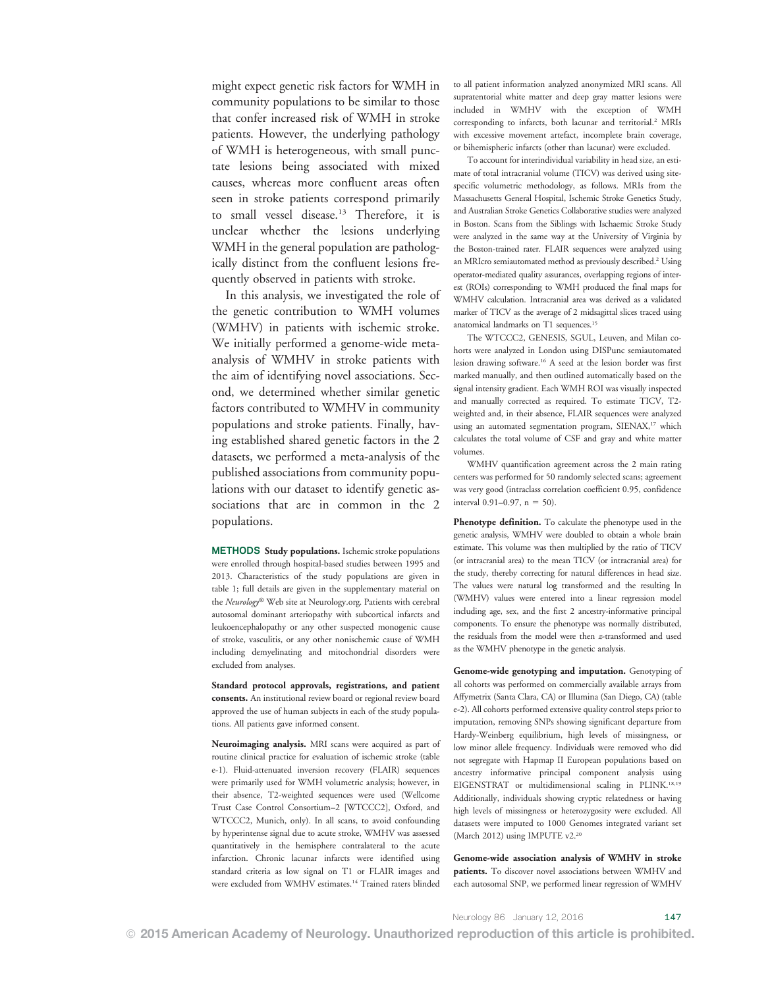might expect genetic risk factors for WMH in community populations to be similar to those that confer increased risk of WMH in stroke patients. However, the underlying pathology of WMH is heterogeneous, with small punctate lesions being associated with mixed causes, whereas more confluent areas often seen in stroke patients correspond primarily to small vessel disease.13 Therefore, it is unclear whether the lesions underlying WMH in the general population are pathologically distinct from the confluent lesions frequently observed in patients with stroke.

In this analysis, we investigated the role of the genetic contribution to WMH volumes (WMHV) in patients with ischemic stroke. We initially performed a genome-wide metaanalysis of WMHV in stroke patients with the aim of identifying novel associations. Second, we determined whether similar genetic factors contributed to WMHV in community populations and stroke patients. Finally, having established shared genetic factors in the 2 datasets, we performed a meta-analysis of the published associations from community populations with our dataset to identify genetic associations that are in common in the 2 populations.

METHODS Study populations. Ischemic stroke populations were enrolled through hospital-based studies between 1995 and 2013. Characteristics of the study populations are given in table 1; full details are given in the supplementary material on the Neurology® Web site at [Neurology.org](http://neurology.org/lookup/doi/10.1212/WNL.0000000000002263). Patients with cerebral autosomal dominant arteriopathy with subcortical infarcts and leukoencephalopathy or any other suspected monogenic cause of stroke, vasculitis, or any other nonischemic cause of WMH including demyelinating and mitochondrial disorders were excluded from analyses.

Standard protocol approvals, registrations, and patient consents. An institutional review board or regional review board approved the use of human subjects in each of the study populations. All patients gave informed consent.

Neuroimaging analysis. MRI scans were acquired as part of routine clinical practice for evaluation of ischemic stroke (table e-1). Fluid-attenuated inversion recovery (FLAIR) sequences were primarily used for WMH volumetric analysis; however, in their absence, T2-weighted sequences were used (Wellcome Trust Case Control Consortium–2 [WTCCC2], Oxford, and WTCCC2, Munich, only). In all scans, to avoid confounding by hyperintense signal due to acute stroke, WMHV was assessed quantitatively in the hemisphere contralateral to the acute infarction. Chronic lacunar infarcts were identified using standard criteria as low signal on T1 or FLAIR images and were excluded from WMHV estimates.14 Trained raters blinded

to all patient information analyzed anonymized MRI scans. All supratentorial white matter and deep gray matter lesions were included in WMHV with the exception of WMH corresponding to infarcts, both lacunar and territorial.<sup>2</sup> MRIs with excessive movement artefact, incomplete brain coverage, or bihemispheric infarcts (other than lacunar) were excluded.

To account for interindividual variability in head size, an estimate of total intracranial volume (TICV) was derived using sitespecific volumetric methodology, as follows. MRIs from the Massachusetts General Hospital, Ischemic Stroke Genetics Study, and Australian Stroke Genetics Collaborative studies were analyzed in Boston. Scans from the Siblings with Ischaemic Stroke Study were analyzed in the same way at the University of Virginia by the Boston-trained rater. FLAIR sequences were analyzed using an MRIcro semiautomated method as previously described.<sup>2</sup> Using operator-mediated quality assurances, overlapping regions of interest (ROIs) corresponding to WMH produced the final maps for WMHV calculation. Intracranial area was derived as a validated marker of TICV as the average of 2 midsagittal slices traced using anatomical landmarks on T1 sequences.15

The WTCCC2, GENESIS, SGUL, Leuven, and Milan cohorts were analyzed in London using DISPunc semiautomated lesion drawing software.16 A seed at the lesion border was first marked manually, and then outlined automatically based on the signal intensity gradient. Each WMH ROI was visually inspected and manually corrected as required. To estimate TICV, T2 weighted and, in their absence, FLAIR sequences were analyzed using an automated segmentation program, SIENAX,<sup>17</sup> which calculates the total volume of CSF and gray and white matter volumes.

WMHV quantification agreement across the 2 main rating centers was performed for 50 randomly selected scans; agreement was very good (intraclass correlation coefficient 0.95, confidence interval  $0.91-0.97$ , n = 50).

Phenotype definition. To calculate the phenotype used in the genetic analysis, WMHV were doubled to obtain a whole brain estimate. This volume was then multiplied by the ratio of TICV (or intracranial area) to the mean TICV (or intracranial area) for the study, thereby correcting for natural differences in head size. The values were natural log transformed and the resulting ln (WMHV) values were entered into a linear regression model including age, sex, and the first 2 ancestry-informative principal components. To ensure the phenotype was normally distributed, the residuals from the model were then z-transformed and used as the WMHV phenotype in the genetic analysis.

Genome-wide genotyping and imputation. Genotyping of all cohorts was performed on commercially available arrays from Affymetrix (Santa Clara, CA) or Illumina (San Diego, CA) (table e-2). All cohorts performed extensive quality control steps prior to imputation, removing SNPs showing significant departure from Hardy-Weinberg equilibrium, high levels of missingness, or low minor allele frequency. Individuals were removed who did not segregate with Hapmap II European populations based on ancestry informative principal component analysis using EIGENSTRAT or multidimensional scaling in PLINK.18,19 Additionally, individuals showing cryptic relatedness or having high levels of missingness or heterozygosity were excluded. All datasets were imputed to 1000 Genomes integrated variant set (March 2012) using IMPUTE v2.20

Genome-wide association analysis of WMHV in stroke patients. To discover novel associations between WMHV and each autosomal SNP, we performed linear regression of WMHV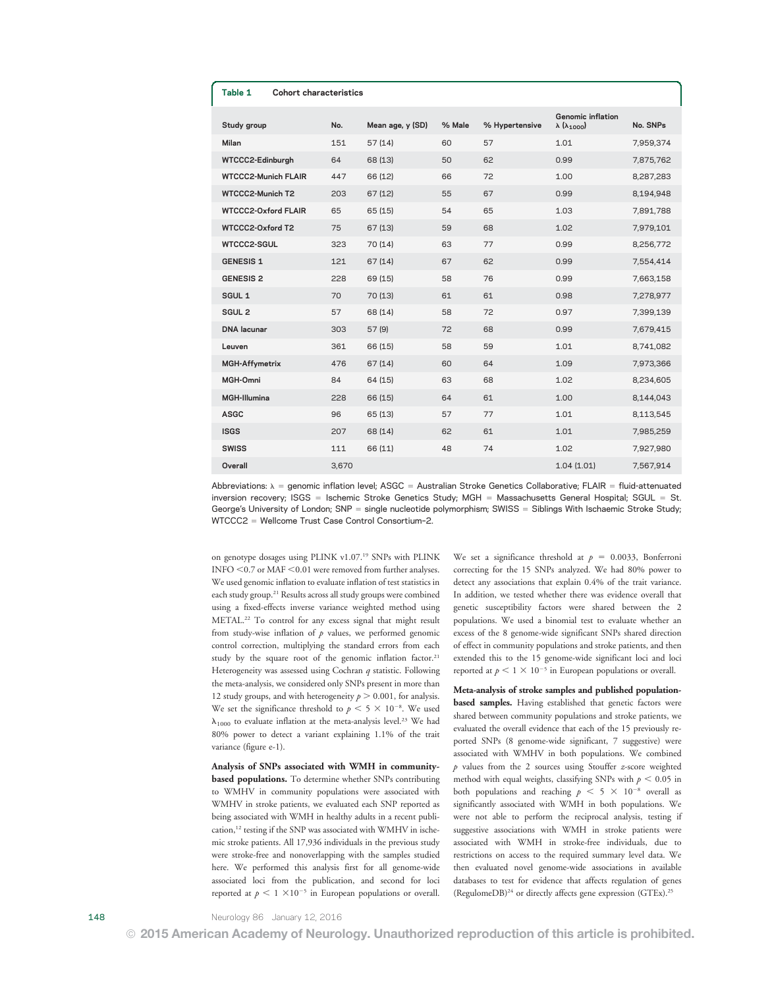| Study group                | No.   | Mean age, y (SD) | % Male | % Hypertensive | <b>Genomic inflation</b><br>$\lambda$ ( $\lambda_{1000}$ ) | No. SNPs  |
|----------------------------|-------|------------------|--------|----------------|------------------------------------------------------------|-----------|
| Milan                      | 151   | 57(14)           | 60     | 57             | 1.01                                                       | 7,959,374 |
| WTCCC2-Edinburgh           | 64    | 68 (13)          | 50     | 62             | 0.99                                                       | 7,875,762 |
| <b>WTCCC2-Munich FLAIR</b> | 447   | 66 (12)          | 66     | 72             | 1.00                                                       | 8,287,283 |
| <b>WTCCC2-Munich T2</b>    | 203   | 67(12)           | 55     | 67             | 0.99                                                       | 8,194,948 |
| <b>WTCCC2-Oxford FLAIR</b> | 65    | 65 (15)          | 54     | 65             | 1.03                                                       | 7,891,788 |
| WTCCC2-Oxford T2           | 75    | 67(13)           | 59     | 68             | 1.02                                                       | 7,979,101 |
| <b>WTCCC2-SGUL</b>         | 323   | 70 (14)          | 63     | 77             | 0.99                                                       | 8,256,772 |
| <b>GENESIS 1</b>           | 121   | 67(14)           | 67     | 62             | 0.99                                                       | 7,554,414 |
| <b>GENESIS 2</b>           | 228   | 69 (15)          | 58     | 76             | 0.99                                                       | 7,663,158 |
| SGUL <sub>1</sub>          | 70    | 70 (13)          | 61     | 61             | 0.98                                                       | 7,278,977 |
| SGUL <sub>2</sub>          | 57    | 68 (14)          | 58     | 72             | 0.97                                                       | 7,399,139 |
| <b>DNA</b> lacunar         | 303   | 57(9)            | 72     | 68             | 0.99                                                       | 7,679,415 |
| Leuven                     | 361   | 66 (15)          | 58     | 59             | 1.01                                                       | 8,741,082 |
| <b>MGH-Affymetrix</b>      | 476   | 67(14)           | 60     | 64             | 1.09                                                       | 7,973,366 |
| MGH-Omni                   | 84    | 64 (15)          | 63     | 68             | 1.02                                                       | 8,234,605 |
| MGH-Illumina               | 228   | 66 (15)          | 64     | 61             | 1.00                                                       | 8,144,043 |
| <b>ASGC</b>                | 96    | 65 (13)          | 57     | 77             | 1.01                                                       | 8,113,545 |
| <b>ISGS</b>                | 207   | 68 (14)          | 62     | 61             | 1.01                                                       | 7,985,259 |
| <b>SWISS</b>               | 111   | 66 (11)          | 48     | 74             | 1.02                                                       | 7,927,980 |
| Overall                    | 3,670 |                  |        |                | 1.04(1.01)                                                 | 7,567,914 |
|                            |       |                  |        |                |                                                            |           |

#### Table 1 Cohort characteristics

Abbreviations:  $\lambda =$  genomic inflation level; ASGC = Australian Stroke Genetics Collaborative; FLAIR = fluid-attenuated inversion recovery; ISGS = Ischemic Stroke Genetics Study; MGH = Massachusetts General Hospital; SGUL = St. George's University of London; SNP = single nucleotide polymorphism; SWISS = Siblings With Ischaemic Stroke Study; WTCCC2 = Wellcome Trust Case Control Consortium-2.

on genotype dosages using PLINK v1.07.19 SNPs with PLINK INFO  $<$  0.7 or MAF  $<$  0.01 were removed from further analyses. We used genomic inflation to evaluate inflation of test statistics in each study group.<sup>21</sup> Results across all study groups were combined using a fixed-effects inverse variance weighted method using METAL.22 To control for any excess signal that might result from study-wise inflation of  $p$  values, we performed genomic control correction, multiplying the standard errors from each study by the square root of the genomic inflation factor.<sup>21</sup> Heterogeneity was assessed using Cochran q statistic. Following the meta-analysis, we considered only SNPs present in more than 12 study groups, and with heterogeneity  $p > 0.001$ , for analysis. We set the significance threshold to  $p < 5 \times 10^{-8}$ . We used  $\lambda_{1000}$  to evaluate inflation at the meta-analysis level.<sup>23</sup> We had 80% power to detect a variant explaining 1.1% of the trait variance (figure e-1).

Analysis of SNPs associated with WMH in communitybased populations. To determine whether SNPs contributing to WMHV in community populations were associated with WMHV in stroke patients, we evaluated each SNP reported as being associated with WMH in healthy adults in a recent publication,<sup>12</sup> testing if the SNP was associated with WMHV in ischemic stroke patients. All 17,936 individuals in the previous study were stroke-free and nonoverlapping with the samples studied here. We performed this analysis first for all genome-wide associated loci from the publication, and second for loci reported at  $p < 1 \times 10^{-5}$  in European populations or overall.

We set a significance threshold at  $p = 0.0033$ , Bonferroni correcting for the 15 SNPs analyzed. We had 80% power to detect any associations that explain 0.4% of the trait variance. In addition, we tested whether there was evidence overall that genetic susceptibility factors were shared between the 2 populations. We used a binomial test to evaluate whether an excess of the 8 genome-wide significant SNPs shared direction of effect in community populations and stroke patients, and then extended this to the 15 genome-wide significant loci and loci reported at  $p < 1 \times 10^{-5}$  in European populations or overall.

Meta-analysis of stroke samples and published populationbased samples. Having established that genetic factors were shared between community populations and stroke patients, we evaluated the overall evidence that each of the 15 previously reported SNPs (8 genome-wide significant, 7 suggestive) were associated with WMHV in both populations. We combined  $p$  values from the 2 sources using Stouffer  $z$ -score weighted method with equal weights, classifying SNPs with  $p < 0.05$  in both populations and reaching  $p \leq 5 \times 10^{-8}$  overall as significantly associated with WMH in both populations. We were not able to perform the reciprocal analysis, testing if suggestive associations with WMH in stroke patients were associated with WMH in stroke-free individuals, due to restrictions on access to the required summary level data. We then evaluated novel genome-wide associations in available databases to test for evidence that affects regulation of genes (RegulomeDB)<sup>24</sup> or directly affects gene expression (GTEx).<sup>25</sup>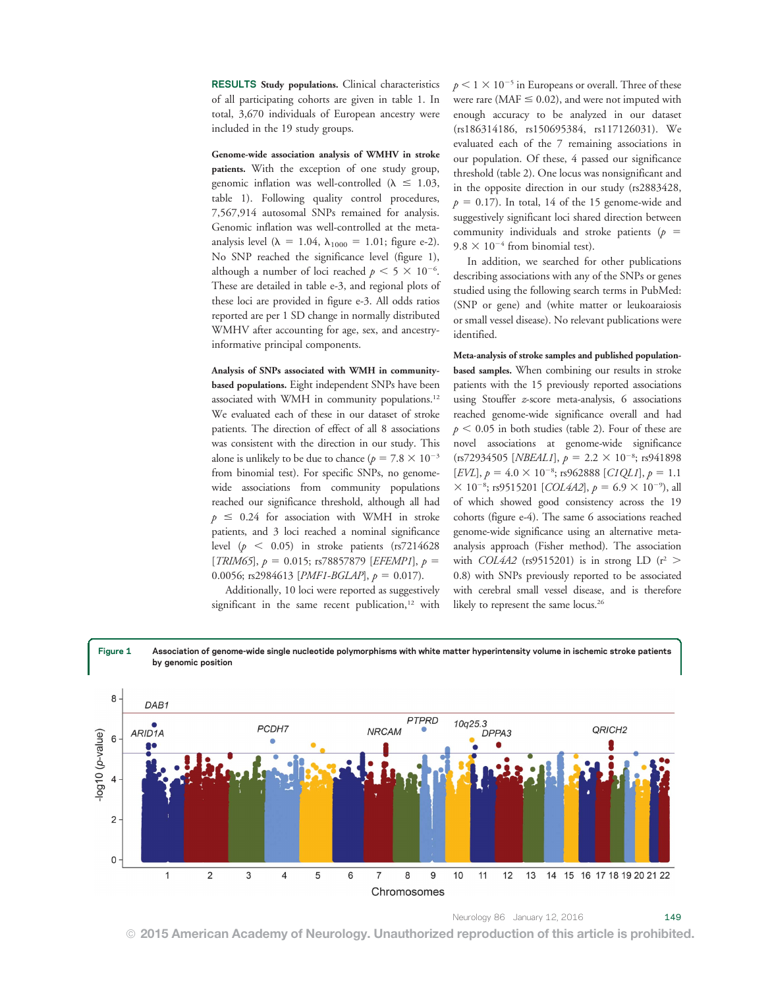RESULTS Study populations. Clinical characteristics of all participating cohorts are given in table 1. In total, 3,670 individuals of European ancestry were included in the 19 study groups.

Genome-wide association analysis of WMHV in stroke patients. With the exception of one study group, genomic inflation was well-controlled ( $\lambda \leq 1.03$ , table 1). Following quality control procedures, 7,567,914 autosomal SNPs remained for analysis. Genomic inflation was well-controlled at the metaanalysis level ( $\lambda = 1.04$ ,  $\lambda_{1000} = 1.01$ ; figure e-2). No SNP reached the significance level (figure 1), although a number of loci reached  $p < 5 \times 10^{-6}$ . These are detailed in table e-3, and regional plots of these loci are provided in figure e-3. All odds ratios reported are per 1 SD change in normally distributed WMHV after accounting for age, sex, and ancestryinformative principal components.

Analysis of SNPs associated with WMH in communitybased populations. Eight independent SNPs have been associated with WMH in community populations.<sup>12</sup> We evaluated each of these in our dataset of stroke patients. The direction of effect of all 8 associations was consistent with the direction in our study. This alone is unlikely to be due to chance ( $p = 7.8 \times 10^{-3}$ from binomial test). For specific SNPs, no genomewide associations from community populations reached our significance threshold, although all had  $p \leq 0.24$  for association with WMH in stroke patients, and 3 loci reached a nominal significance level ( $p \leq 0.05$ ) in stroke patients (rs7214628) [TRIM65],  $p = 0.015$ ; rs78857879 [EFEMP1],  $p =$ 0.0056; rs2984613 [*PMF1-BGLAP*],  $p = 0.017$ ).

Additionally, 10 loci were reported as suggestively significant in the same recent publication, $12$  with  $p < 1 \times 10^{-5}$  in Europeans or overall. Three of these were rare ( $MAF \leq 0.02$ ), and were not imputed with enough accuracy to be analyzed in our dataset (rs186314186, rs150695384, rs117126031). We evaluated each of the 7 remaining associations in our population. Of these, 4 passed our significance threshold (table 2). One locus was nonsignificant and in the opposite direction in our study (rs2883428,  $p = 0.17$ ). In total, 14 of the 15 genome-wide and suggestively significant loci shared direction between community individuals and stroke patients ( $p =$  $9.8 \times 10^{-4}$  from binomial test).

In addition, we searched for other publications describing associations with any of the SNPs or genes studied using the following search terms in PubMed: (SNP or gene) and (white matter or leukoaraiosis or small vessel disease). No relevant publications were identified.

Meta-analysis of stroke samples and published populationbased samples. When combining our results in stroke patients with the 15 previously reported associations using Stouffer z-score meta-analysis, 6 associations reached genome-wide significance overall and had  $p < 0.05$  in both studies (table 2). Four of these are novel associations at genome-wide significance  $(rs72934505$  [*NBEAL1*],  $p = 2.2 \times 10^{-8}$ ; rs941898 [*EVL*],  $p = 4.0 \times 10^{-8}$ ; rs962888 [*C1QL1*],  $p = 1.1$  $\times$  10<sup>-8</sup>; rs9515201 [*COL4A2*],  $p = 6.9 \times 10^{-9}$ ), all of which showed good consistency across the 19 cohorts (figure e-4). The same 6 associations reached genome-wide significance using an alternative metaanalysis approach (Fisher method). The association with COL4A2 (rs9515201) is in strong LD ( $r^2$  > 0.8) with SNPs previously reported to be associated with cerebral small vessel disease, and is therefore likely to represent the same locus.<sup>26</sup>



Figure 1 Association of genome-wide single nucleotide polymorphisms with white matter hyperintensity volume in ischemic stroke patients

Neurology 86 January 12, 2016 149 © 2015 American Academy of Neurology. Unauthorized reproduction of this article is prohibited.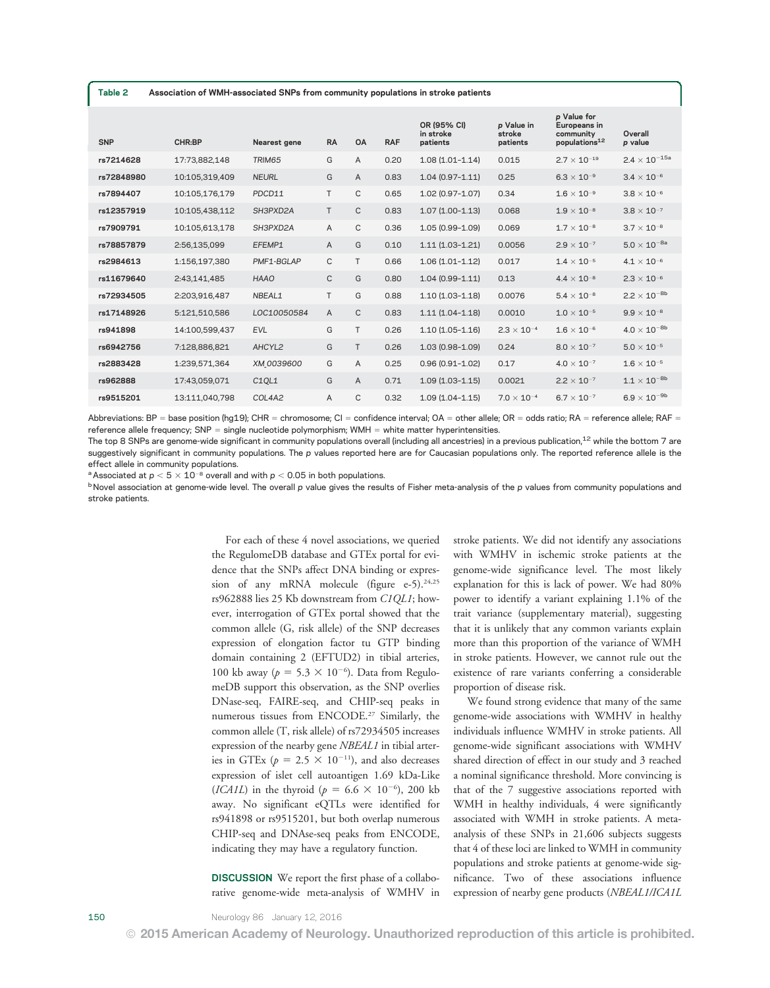| <b>SNP</b> | CHR:BP         | Nearest gene | <b>RA</b>      | <b>OA</b>      | <b>RAF</b> | OR (95% CI)<br>in stroke<br>patients | p Value in<br>stroke<br>patients | p Value for<br>Europeans in<br>community<br>populations <sup>12</sup> | Overall<br>p value     |
|------------|----------------|--------------|----------------|----------------|------------|--------------------------------------|----------------------------------|-----------------------------------------------------------------------|------------------------|
| rs7214628  | 17:73,882,148  | TRIM65       | G              | $\overline{A}$ | 0.20       | $1.08(1.01 - 1.14)$                  | 0.015                            | $2.7 \times 10^{-19}$                                                 | $2.4 \times 10^{-15a}$ |
| rs72848980 | 10:105,319,409 | <b>NEURL</b> | G              | $\mathsf{A}$   | 0.83       | $1.04(0.97 - 1.11)$                  | 0.25                             | $6.3 \times 10^{-9}$                                                  | $3.4 \times 10^{-6}$   |
| rs7894407  | 10:105,176,179 | PDCD11       | $\top$         | C              | 0.65       | $1.02(0.97 - 1.07)$                  | 0.34                             | $1.6 \times 10^{-9}$                                                  | $3.8 \times 10^{-6}$   |
| rs12357919 | 10:105,438,112 | SH3PXD2A     | T.             | $\mathsf{C}$   | 0.83       | $1.07(1.00-1.13)$                    | 0.068                            | $1.9 \times 10^{-8}$                                                  | $3.8 \times 10^{-7}$   |
| rs7909791  | 10:105,613,178 | SH3PXD2A     | A              | C              | 0.36       | $1.05(0.99 - 1.09)$                  | 0.069                            | $1.7 \times 10^{-8}$                                                  | $3.7 \times 10^{-8}$   |
| rs78857879 | 2:56,135,099   | EFEMP1       | A              | G              | 0.10       | $1.11(1.03-1.21)$                    | 0.0056                           | $2.9 \times 10^{-7}$                                                  | $5.0 \times 10^{-8a}$  |
| rs2984613  | 1:156,197,380  | PMF1-BGLAP   | $\mathsf C$    | T.             | 0.66       | $1.06(1.01 - 1.12)$                  | 0.017                            | $1.4 \times 10^{-5}$                                                  | $4.1 \times 10^{-6}$   |
| rs11679640 | 2:43,141,485   | <b>HAAO</b>  | $\mathsf{C}$   | G              | 0.80       | $1.04(0.99 - 1.11)$                  | 0.13                             | $4.4 \times 10^{-8}$                                                  | $2.3 \times 10^{-6}$   |
| rs72934505 | 2:203,916,487  | NBEAL1       | T.             | G              | 0.88       | $1.10(1.03 - 1.18)$                  | 0.0076                           | $5.4 \times 10^{-8}$                                                  | $2.2 \times 10^{-8b}$  |
| rs17148926 | 5:121,510,586  | LOC10050584  | $\overline{A}$ | $\mathsf{C}$   | 0.83       | $1.11(1.04 - 1.18)$                  | 0.0010                           | $1.0 \times 10^{-5}$                                                  | $9.9 \times 10^{-8}$   |
| rs941898   | 14:100,599,437 | <b>EVL</b>   | G              | T.             | 0.26       | $1.10(1.05 - 1.16)$                  | $2.3 \times 10^{-4}$             | $1.6 \times 10^{-6}$                                                  | $4.0 \times 10^{-8b}$  |
| rs6942756  | 7:128,886,821  | AHCYL2       | G              | T.             | 0.26       | $1.03(0.98 - 1.09)$                  | 0.24                             | $8.0 \times 10^{-7}$                                                  | $5.0 \times 10^{-5}$   |
| rs2883428  | 1:239,571,364  | XM 0039600   | G              | $\overline{A}$ | 0.25       | $0.96(0.91 - 1.02)$                  | 0.17                             | $4.0 \times 10^{-7}$                                                  | $1.6 \times 10^{-5}$   |
| rs962888   | 17:43,059,071  | C1QL1        | G              | $\mathsf{A}$   | 0.71       | $1.09(1.03 - 1.15)$                  | 0.0021                           | $2.2 \times 10^{-7}$                                                  | $1.1 \times 10^{-8b}$  |
| rs9515201  | 13:111,040,798 | COL4A2       | A              | C              | 0.32       | $1.09(1.04 - 1.15)$                  | $7.0 \times 10^{-4}$             | $6.7 \times 10^{-7}$                                                  | $6.9 \times 10^{-9b}$  |
|            |                |              |                |                |            |                                      |                                  |                                                                       |                        |

Abbreviations: BP = base position (hg19); CHR = chromosome; CI = confidence interval; OA = other allele; OR = odds ratio; RA = reference allele; RAF = reference allele frequency;  $SNP =$  single nucleotide polymorphism; WMH  $=$  white matter hyperintensities.

The top 8 SNPs are genome-wide significant in community populations overall (including all ancestries) in a previous publication,<sup>12</sup> while the bottom 7 are suggestively significant in community populations. The p values reported here are for Caucasian populations only. The reported reference allele is the effect allele in community populations.

<sup>a</sup> Associated at  $p < 5 \times 10^{-8}$  overall and with  $p < 0.05$  in both populations.

**b Novel association at genome-wide level**. The overall p value gives the results of Fisher meta-analysis of the p values from community populations and stroke patients.

> For each of these 4 novel associations, we queried the RegulomeDB database and GTEx portal for evidence that the SNPs affect DNA binding or expression of any mRNA molecule (figure  $e$ -5).<sup>24,25</sup> rs962888 lies 25 Kb downstream from C1QL1; however, interrogation of GTEx portal showed that the common allele (G, risk allele) of the SNP decreases expression of elongation factor tu GTP binding domain containing 2 (EFTUD2) in tibial arteries, 100 kb away ( $p = 5.3 \times 10^{-6}$ ). Data from RegulomeDB support this observation, as the SNP overlies DNase-seq, FAIRE-seq, and CHIP-seq peaks in numerous tissues from ENCODE.<sup>27</sup> Similarly, the common allele (T, risk allele) of rs72934505 increases expression of the nearby gene NBEAL1 in tibial arteries in GTEx ( $p = 2.5 \times 10^{-11}$ ), and also decreases expression of islet cell autoantigen 1.69 kDa-Like (ICA1L) in the thyroid ( $p = 6.6 \times 10^{-6}$ ), 200 kb away. No significant eQTLs were identified for rs941898 or rs9515201, but both overlap numerous CHIP-seq and DNAse-seq peaks from ENCODE, indicating they may have a regulatory function.

> DISCUSSION We report the first phase of a collaborative genome-wide meta-analysis of WMHV in

stroke patients. We did not identify any associations with WMHV in ischemic stroke patients at the genome-wide significance level. The most likely explanation for this is lack of power. We had 80% power to identify a variant explaining 1.1% of the trait variance (supplementary material), suggesting that it is unlikely that any common variants explain more than this proportion of the variance of WMH in stroke patients. However, we cannot rule out the existence of rare variants conferring a considerable proportion of disease risk.

We found strong evidence that many of the same genome-wide associations with WMHV in healthy individuals influence WMHV in stroke patients. All genome-wide significant associations with WMHV shared direction of effect in our study and 3 reached a nominal significance threshold. More convincing is that of the 7 suggestive associations reported with WMH in healthy individuals, 4 were significantly associated with WMH in stroke patients. A metaanalysis of these SNPs in 21,606 subjects suggests that 4 of these loci are linked to WMH in community populations and stroke patients at genome-wide significance. Two of these associations influence expression of nearby gene products (NBEAL1/ICA1L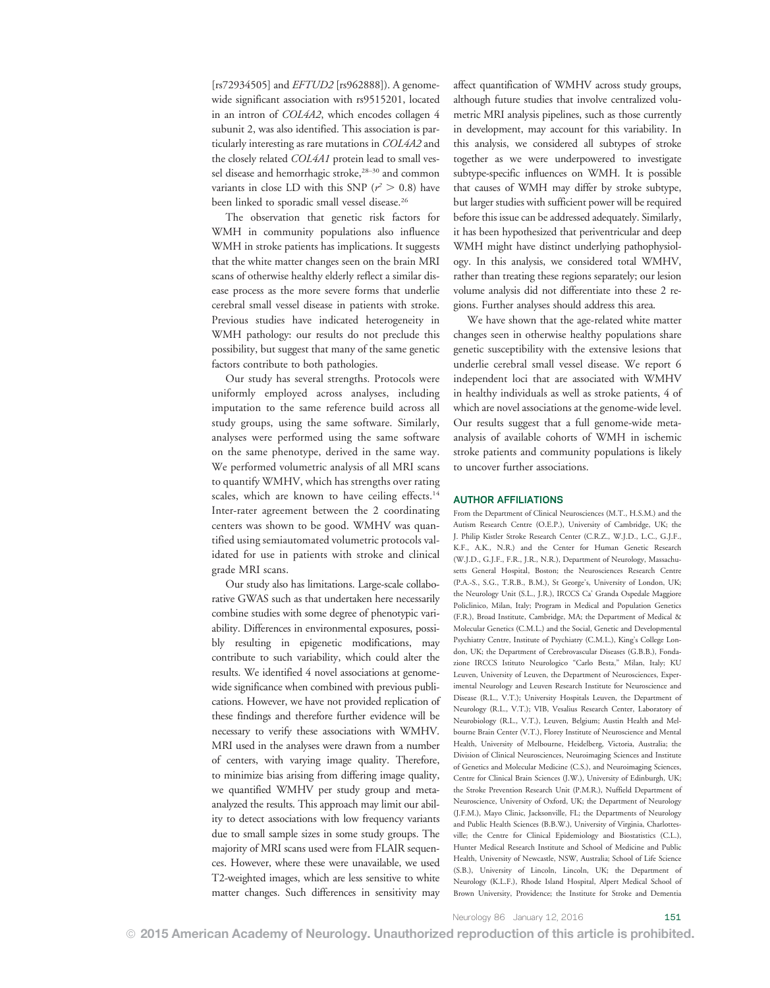[rs72934505] and *EFTUD2* [rs962888]). A genomewide significant association with rs9515201, located in an intron of COL4A2, which encodes collagen 4 subunit 2, was also identified. This association is particularly interesting as rare mutations in COL4A2 and the closely related COL4A1 protein lead to small vessel disease and hemorrhagic stroke,<sup>28-30</sup> and common variants in close LD with this SNP ( $r^2 > 0.8$ ) have been linked to sporadic small vessel disease.<sup>26</sup>

The observation that genetic risk factors for WMH in community populations also influence WMH in stroke patients has implications. It suggests that the white matter changes seen on the brain MRI scans of otherwise healthy elderly reflect a similar disease process as the more severe forms that underlie cerebral small vessel disease in patients with stroke. Previous studies have indicated heterogeneity in WMH pathology: our results do not preclude this possibility, but suggest that many of the same genetic factors contribute to both pathologies.

Our study has several strengths. Protocols were uniformly employed across analyses, including imputation to the same reference build across all study groups, using the same software. Similarly, analyses were performed using the same software on the same phenotype, derived in the same way. We performed volumetric analysis of all MRI scans to quantify WMHV, which has strengths over rating scales, which are known to have ceiling effects.<sup>14</sup> Inter-rater agreement between the 2 coordinating centers was shown to be good. WMHV was quantified using semiautomated volumetric protocols validated for use in patients with stroke and clinical grade MRI scans.

Our study also has limitations. Large-scale collaborative GWAS such as that undertaken here necessarily combine studies with some degree of phenotypic variability. Differences in environmental exposures, possibly resulting in epigenetic modifications, may contribute to such variability, which could alter the results. We identified 4 novel associations at genomewide significance when combined with previous publications. However, we have not provided replication of these findings and therefore further evidence will be necessary to verify these associations with WMHV. MRI used in the analyses were drawn from a number of centers, with varying image quality. Therefore, to minimize bias arising from differing image quality, we quantified WMHV per study group and metaanalyzed the results. This approach may limit our ability to detect associations with low frequency variants due to small sample sizes in some study groups. The majority of MRI scans used were from FLAIR sequences. However, where these were unavailable, we used T2-weighted images, which are less sensitive to white matter changes. Such differences in sensitivity may

affect quantification of WMHV across study groups, although future studies that involve centralized volumetric MRI analysis pipelines, such as those currently in development, may account for this variability. In this analysis, we considered all subtypes of stroke together as we were underpowered to investigate subtype-specific influences on WMH. It is possible that causes of WMH may differ by stroke subtype, but larger studies with sufficient power will be required before this issue can be addressed adequately. Similarly, it has been hypothesized that periventricular and deep WMH might have distinct underlying pathophysiology. In this analysis, we considered total WMHV, rather than treating these regions separately; our lesion volume analysis did not differentiate into these 2 regions. Further analyses should address this area.

We have shown that the age-related white matter changes seen in otherwise healthy populations share genetic susceptibility with the extensive lesions that underlie cerebral small vessel disease. We report 6 independent loci that are associated with WMHV in healthy individuals as well as stroke patients, 4 of which are novel associations at the genome-wide level. Our results suggest that a full genome-wide metaanalysis of available cohorts of WMH in ischemic stroke patients and community populations is likely to uncover further associations.

#### AUTHOR AFFILIATIONS

From the Department of Clinical Neurosciences (M.T., H.S.M.) and the Autism Research Centre (O.E.P.), University of Cambridge, UK; the J. Philip Kistler Stroke Research Center (C.R.Z., W.J.D., L.C., G.J.F., K.F., A.K., N.R.) and the Center for Human Genetic Research (W.J.D., G.J.F., F.R., J.R., N.R.), Department of Neurology, Massachusetts General Hospital, Boston; the Neurosciences Research Centre (P.A.-S., S.G., T.R.B., B.M.), St George's, University of London, UK; the Neurology Unit (S.L., J.R.), IRCCS Ca' Granda Ospedale Maggiore Policlinico, Milan, Italy; Program in Medical and Population Genetics (F.R.), Broad Institute, Cambridge, MA; the Department of Medical & Molecular Genetics (C.M.L.) and the Social, Genetic and Developmental Psychiatry Centre, Institute of Psychiatry (C.M.L.), King's College London, UK; the Department of Cerebrovascular Diseases (G.B.B.), Fondazione IRCCS Istituto Neurologico "Carlo Besta," Milan, Italy; KU Leuven, University of Leuven, the Department of Neurosciences, Experimental Neurology and Leuven Research Institute for Neuroscience and Disease (R.L., V.T.); University Hospitals Leuven, the Department of Neurology (R.L., V.T.); VIB, Vesalius Research Center, Laboratory of Neurobiology (R.L., V.T.), Leuven, Belgium; Austin Health and Melbourne Brain Center (V.T.), Florey Institute of Neuroscience and Mental Health, University of Melbourne, Heidelberg, Victoria, Australia; the Division of Clinical Neurosciences, Neuroimaging Sciences and Institute of Genetics and Molecular Medicine (C.S.), and Neuroimaging Sciences, Centre for Clinical Brain Sciences (J.W.), University of Edinburgh, UK; the Stroke Prevention Research Unit (P.M.R.), Nuffield Department of Neuroscience, University of Oxford, UK; the Department of Neurology (J.F.M.), Mayo Clinic, Jacksonville, FL; the Departments of Neurology and Public Health Sciences (B.B.W.), University of Virginia, Charlottesville; the Centre for Clinical Epidemiology and Biostatistics (C.L.), Hunter Medical Research Institute and School of Medicine and Public Health, University of Newcastle, NSW, Australia; School of Life Science (S.B.), University of Lincoln, Lincoln, UK; the Department of Neurology (K.L.F.), Rhode Island Hospital, Alpert Medical School of Brown University, Providence; the Institute for Stroke and Dementia

Neurology 86 January 12, 2016 151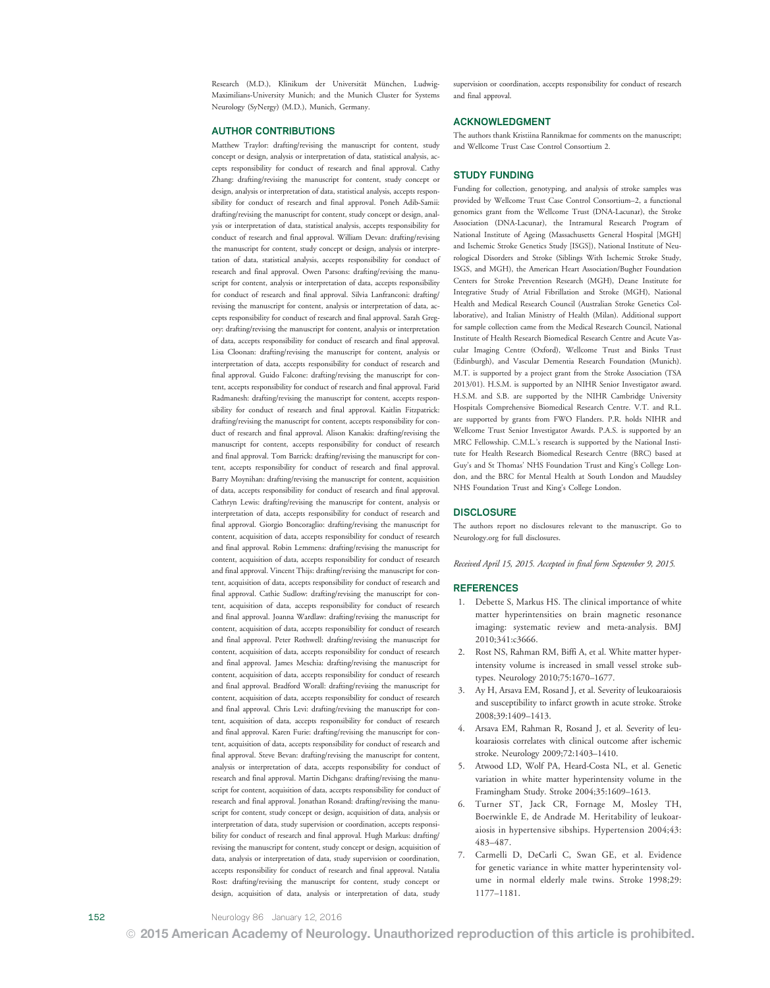Research (M.D.), Klinikum der Universität München, Ludwig-Maximilians-University Munich; and the Munich Cluster for Systems Neurology (SyNergy) (M.D.), Munich, Germany.

#### AUTHOR CONTRIBUTIONS

Matthew Traylor: drafting/revising the manuscript for content, study concept or design, analysis or interpretation of data, statistical analysis, accepts responsibility for conduct of research and final approval. Cathy Zhang: drafting/revising the manuscript for content, study concept or design, analysis or interpretation of data, statistical analysis, accepts responsibility for conduct of research and final approval. Poneh Adib-Samii: drafting/revising the manuscript for content, study concept or design, analysis or interpretation of data, statistical analysis, accepts responsibility for conduct of research and final approval. William Devan: drafting/revising the manuscript for content, study concept or design, analysis or interpretation of data, statistical analysis, accepts responsibility for conduct of research and final approval. Owen Parsons: drafting/revising the manuscript for content, analysis or interpretation of data, accepts responsibility for conduct of research and final approval. Silvia Lanfranconi: drafting/ revising the manuscript for content, analysis or interpretation of data, accepts responsibility for conduct of research and final approval. Sarah Gregory: drafting/revising the manuscript for content, analysis or interpretation of data, accepts responsibility for conduct of research and final approval. Lisa Cloonan: drafting/revising the manuscript for content, analysis or interpretation of data, accepts responsibility for conduct of research and final approval. Guido Falcone: drafting/revising the manuscript for content, accepts responsibility for conduct of research and final approval. Farid Radmanesh: drafting/revising the manuscript for content, accepts responsibility for conduct of research and final approval. Kaitlin Fitzpatrick: drafting/revising the manuscript for content, accepts responsibility for conduct of research and final approval. Alison Kanakis: drafting/revising the manuscript for content, accepts responsibility for conduct of research and final approval. Tom Barrick: drafting/revising the manuscript for content, accepts responsibility for conduct of research and final approval. Barry Moynihan: drafting/revising the manuscript for content, acquisition of data, accepts responsibility for conduct of research and final approval. Cathryn Lewis: drafting/revising the manuscript for content, analysis or interpretation of data, accepts responsibility for conduct of research and final approval. Giorgio Boncoraglio: drafting/revising the manuscript for content, acquisition of data, accepts responsibility for conduct of research and final approval. Robin Lemmens: drafting/revising the manuscript for content, acquisition of data, accepts responsibility for conduct of research and final approval. Vincent Thijs: drafting/revising the manuscript for content, acquisition of data, accepts responsibility for conduct of research and final approval. Cathie Sudlow: drafting/revising the manuscript for content, acquisition of data, accepts responsibility for conduct of research and final approval. Joanna Wardlaw: drafting/revising the manuscript for content, acquisition of data, accepts responsibility for conduct of research and final approval. Peter Rothwell: drafting/revising the manuscript for content, acquisition of data, accepts responsibility for conduct of research and final approval. James Meschia: drafting/revising the manuscript for content, acquisition of data, accepts responsibility for conduct of research and final approval. Bradford Worall: drafting/revising the manuscript for content, acquisition of data, accepts responsibility for conduct of research and final approval. Chris Levi: drafting/revising the manuscript for content, acquisition of data, accepts responsibility for conduct of research and final approval. Karen Furie: drafting/revising the manuscript for content, acquisition of data, accepts responsibility for conduct of research and final approval. Steve Bevan: drafting/revising the manuscript for content, analysis or interpretation of data, accepts responsibility for conduct of research and final approval. Martin Dichgans: drafting/revising the manuscript for content, acquisition of data, accepts responsibility for conduct of research and final approval. Jonathan Rosand: drafting/revising the manuscript for content, study concept or design, acquisition of data, analysis or interpretation of data, study supervision or coordination, accepts responsibility for conduct of research and final approval. Hugh Markus: drafting/ revising the manuscript for content, study concept or design, acquisition of data, analysis or interpretation of data, study supervision or coordination, accepts responsibility for conduct of research and final approval. Natalia Rost: drafting/revising the manuscript for content, study concept or design, acquisition of data, analysis or interpretation of data, study

supervision or coordination, accepts responsibility for conduct of research and final approval.

#### ACKNOWLEDGMENT

The authors thank Kristiina Rannikmae for comments on the manuscript; and Wellcome Trust Case Control Consortium 2.

#### STUDY FUNDING

Funding for collection, genotyping, and analysis of stroke samples was provided by Wellcome Trust Case Control Consortium–2, a functional genomics grant from the Wellcome Trust (DNA-Lacunar), the Stroke Association (DNA-Lacunar), the Intramural Research Program of National Institute of Ageing (Massachusetts General Hospital [MGH] and Ischemic Stroke Genetics Study [ISGS]), National Institute of Neurological Disorders and Stroke (Siblings With Ischemic Stroke Study, ISGS, and MGH), the American Heart Association/Bugher Foundation Centers for Stroke Prevention Research (MGH), Deane Institute for Integrative Study of Atrial Fibrillation and Stroke (MGH), National Health and Medical Research Council (Australian Stroke Genetics Collaborative), and Italian Ministry of Health (Milan). Additional support for sample collection came from the Medical Research Council, National Institute of Health Research Biomedical Research Centre and Acute Vascular Imaging Centre (Oxford), Wellcome Trust and Binks Trust (Edinburgh), and Vascular Dementia Research Foundation (Munich). M.T. is supported by a project grant from the Stroke Association (TSA 2013/01). H.S.M. is supported by an NIHR Senior Investigator award. H.S.M. and S.B. are supported by the NIHR Cambridge University Hospitals Comprehensive Biomedical Research Centre. V.T. and R.L. are supported by grants from FWO Flanders. P.R. holds NIHR and Wellcome Trust Senior Investigator Awards. P.A.S. is supported by an MRC Fellowship. C.M.L.'s research is supported by the National Institute for Health Research Biomedical Research Centre (BRC) based at Guy's and St Thomas' NHS Foundation Trust and King's College London, and the BRC for Mental Health at South London and Maudsley NHS Foundation Trust and King's College London.

#### **DISCLOSURE**

The authors report no disclosures relevant to the manuscript. Go to [Neurology.org](http://neurology.org/lookup/doi/10.1212/WNL.0000000000002263) for full disclosures.

Received April 15, 2015. Accepted in final form September 9, 2015.

#### **REFERENCES**

- 1. Debette S, Markus HS. The clinical importance of white matter hyperintensities on brain magnetic resonance imaging: systematic review and meta-analysis. BMJ 2010;341:c3666.
- 2. Rost NS, Rahman RM, Biffi A, et al. White matter hyperintensity volume is increased in small vessel stroke subtypes. Neurology 2010;75:1670–1677.
- 3. Ay H, Arsava EM, Rosand J, et al. Severity of leukoaraiosis and susceptibility to infarct growth in acute stroke. Stroke 2008;39:1409–1413.
- 4. Arsava EM, Rahman R, Rosand J, et al. Severity of leukoaraiosis correlates with clinical outcome after ischemic stroke. Neurology 2009;72:1403–1410.
- 5. Atwood LD, Wolf PA, Heard-Costa NL, et al. Genetic variation in white matter hyperintensity volume in the Framingham Study. Stroke 2004;35:1609–1613.
- 6. Turner ST, Jack CR, Fornage M, Mosley TH, Boerwinkle E, de Andrade M. Heritability of leukoaraiosis in hypertensive sibships. Hypertension 2004;43: 483–487.
- 7. Carmelli D, DeCarli C, Swan GE, et al. Evidence for genetic variance in white matter hyperintensity volume in normal elderly male twins. Stroke 1998;29: 1177–1181.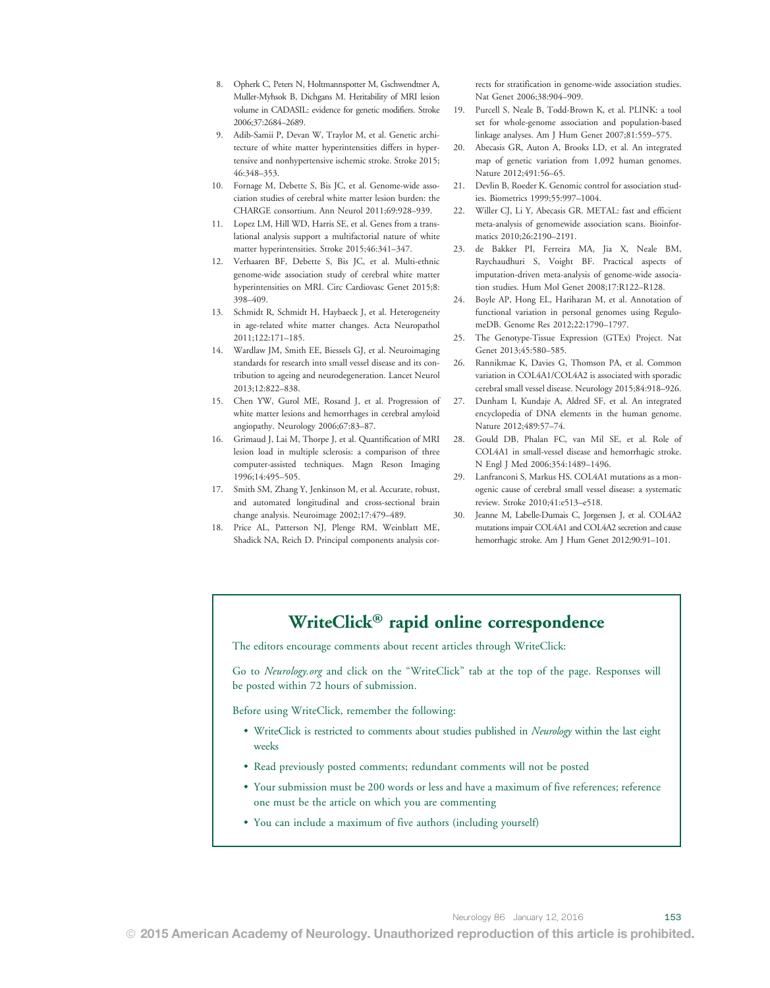- 8. Opherk C, Peters N, Holtmannspotter M, Gschwendtner A, Muller-Myhsok B, Dichgans M. Heritability of MRI lesion volume in CADASIL: evidence for genetic modifiers. Stroke 2006;37:2684–2689.
- 9. Adib-Samii P, Devan W, Traylor M, et al. Genetic architecture of white matter hyperintensities differs in hypertensive and nonhypertensive ischemic stroke. Stroke 2015; 46:348–353.
- 10. Fornage M, Debette S, Bis JC, et al. Genome-wide association studies of cerebral white matter lesion burden: the CHARGE consortium. Ann Neurol 2011;69:928–939.
- 11. Lopez LM, Hill WD, Harris SE, et al. Genes from a translational analysis support a multifactorial nature of white matter hyperintensities. Stroke 2015;46:341–347.
- 12. Verhaaren BF, Debette S, Bis JC, et al. Multi-ethnic genome-wide association study of cerebral white matter hyperintensities on MRI. Circ Cardiovasc Genet 2015;8: 398–409.
- 13. Schmidt R, Schmidt H, Haybaeck J, et al. Heterogeneity in age-related white matter changes. Acta Neuropathol 2011;122:171–185.
- 14. Wardlaw JM, Smith EE, Biessels GJ, et al. Neuroimaging standards for research into small vessel disease and its contribution to ageing and neurodegeneration. Lancet Neurol 2013;12:822–838.
- 15. Chen YW, Gurol ME, Rosand J, et al. Progression of white matter lesions and hemorrhages in cerebral amyloid angiopathy. Neurology 2006;67:83–87.
- 16. Grimaud J, Lai M, Thorpe J, et al. Quantification of MRI lesion load in multiple sclerosis: a comparison of three computer-assisted techniques. Magn Reson Imaging 1996;14:495–505.
- 17. Smith SM, Zhang Y, Jenkinson M, et al. Accurate, robust, and automated longitudinal and cross-sectional brain change analysis. Neuroimage 2002;17:479–489.
- 18. Price AL, Patterson NJ, Plenge RM, Weinblatt ME, Shadick NA, Reich D. Principal components analysis cor-

rects for stratification in genome-wide association studies. Nat Genet 2006;38:904–909.

- 19. Purcell S, Neale B, Todd-Brown K, et al. PLINK: a tool set for whole-genome association and population-based linkage analyses. Am J Hum Genet 2007;81:559–575.
- 20. Abecasis GR, Auton A, Brooks LD, et al. An integrated map of genetic variation from 1,092 human genomes. Nature 2012;491:56–65.
- 21. Devlin B, Roeder K. Genomic control for association studies. Biometrics 1999;55:997–1004.
- 22. Willer CJ, Li Y, Abecasis GR. METAL: fast and efficient meta-analysis of genomewide association scans. Bioinformatics 2010;26:2190–2191.
- 23. de Bakker PI, Ferreira MA, Jia X, Neale BM, Raychaudhuri S, Voight BF. Practical aspects of imputation-driven meta-analysis of genome-wide association studies. Hum Mol Genet 2008;17:R122–R128.
- 24. Boyle AP, Hong EL, Hariharan M, et al. Annotation of functional variation in personal genomes using RegulomeDB. Genome Res 2012;22:1790–1797.
- 25. The Genotype-Tissue Expression (GTEx) Project. Nat Genet 2013;45:580–585.
- 26. Rannikmae K, Davies G, Thomson PA, et al. Common variation in COL4A1/COL4A2 is associated with sporadic cerebral small vessel disease. Neurology 2015;84:918–926.
- 27. Dunham I, Kundaje A, Aldred SF, et al. An integrated encyclopedia of DNA elements in the human genome. Nature 2012;489:57–74.
- 28. Gould DB, Phalan FC, van Mil SE, et al. Role of COL4A1 in small-vessel disease and hemorrhagic stroke. N Engl J Med 2006;354:1489–1496.
- 29. Lanfranconi S, Markus HS. COL4A1 mutations as a monogenic cause of cerebral small vessel disease: a systematic review. Stroke 2010;41:e513–e518.
- 30. Jeanne M, Labelle-Dumais C, Jorgensen J, et al. COL4A2 mutations impair COL4A1 and COL4A2 secretion and cause hemorrhagic stroke. Am J Hum Genet 2012;90:91–101.

## WriteClick® rapid online correspondence

The editors encourage comments about recent articles through WriteClick:

Go to Neurology.org and click on the "WriteClick" tab at the top of the page. Responses will be posted within 72 hours of submission.

Before using WriteClick, remember the following:

- WriteClick is restricted to comments about studies published in *Neurology* within the last eight weeks
- Read previously posted comments; redundant comments will not be posted
- Your submission must be 200 words or less and have a maximum of five references; reference one must be the article on which you are commenting
- You can include a maximum of five authors (including yourself)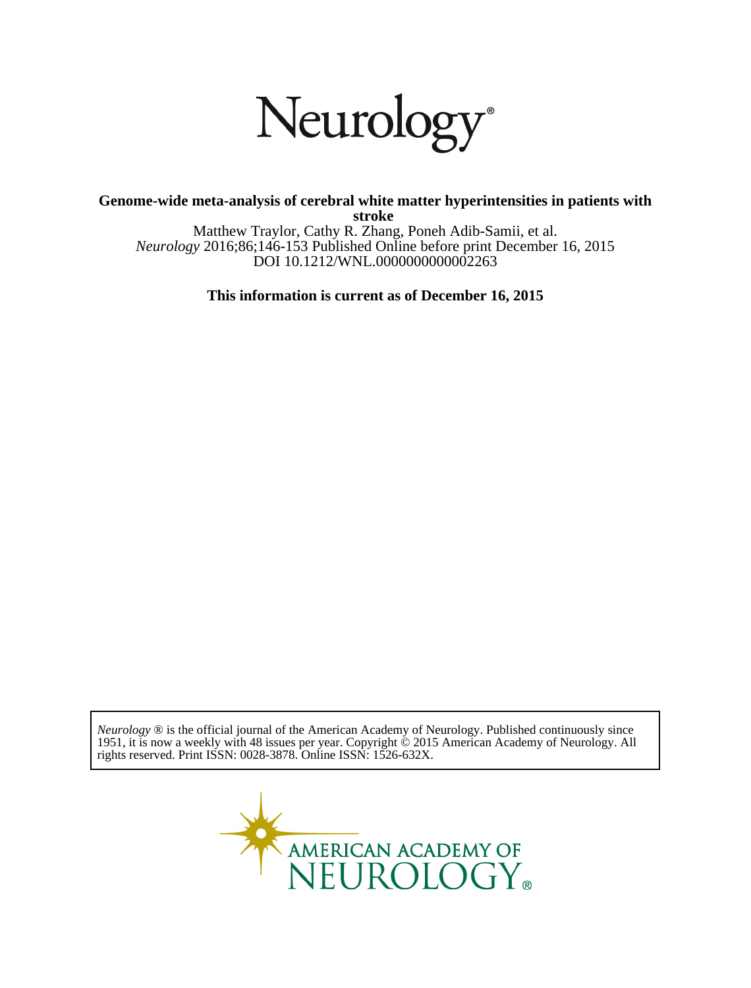

### DOI 10.1212/WNL.0000000000002263 *Neurology* 2016;86;146-153 Published Online before print December 16, 2015 Matthew Traylor, Cathy R. Zhang, Poneh Adib-Samii, et al. **stroke Genome-wide meta-analysis of cerebral white matter hyperintensities in patients with**

**This information is current as of December 16, 2015**

rights reserved. Print ISSN: 0028-3878. Online ISSN: 1526-632X. 1951, it is now a weekly with 48 issues per year. Copyright © 2015 American Academy of Neurology. All *Neurology* ® is the official journal of the American Academy of Neurology. Published continuously since